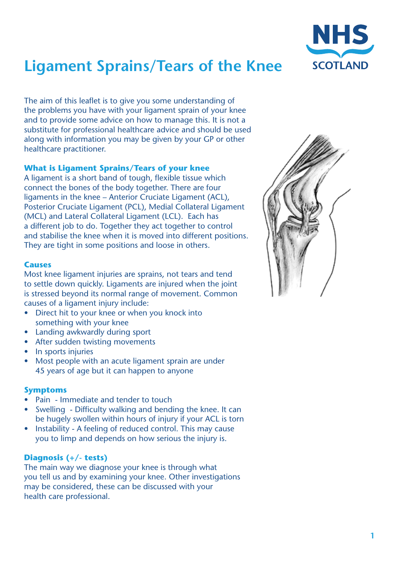

# **Ligament Sprains/Tears of the Knee**

The aim of this leaflet is to give you some understanding of the problems you have with your ligament sprain of your knee and to provide some advice on how to manage this. It is not a substitute for professional healthcare advice and should be used along with information you may be given by your GP or other healthcare practitioner.

# **What is Ligament Sprains/Tears of your knee**

A ligament is a short band of tough, flexible tissue which connect the bones of the body together. There are four ligaments in the knee – Anterior Cruciate Ligament (ACL), Posterior Cruciate Ligament (PCL), Medial Collateral Ligament (MCL) and Lateral Collateral Ligament (LCL). Each has a different job to do. Together they act together to control and stabilise the knee when it is moved into different positions. They are tight in some positions and loose in others.

## **Causes**

Most knee ligament injuries are sprains, not tears and tend to settle down quickly. Ligaments are injured when the joint is stressed beyond its normal range of movement. Common causes of a ligament injury include:

- Direct hit to your knee or when you knock into something with your knee
- **Landing awkwardly during sport**
- After sudden twisting movements
- In sports injuries
- Most people with an acute ligament sprain are under 45 years of age but it can happen to anyone

# **Symptoms**

- Pain Immediate and tender to touch
- Swelling Difficulty walking and bending the knee. It can be hugely swollen within hours of injury if your ACL is torn
- Instability A feeling of reduced control. This may cause you to limp and depends on how serious the injury is.

# **Diagnosis (+/- tests)**

The main way we diagnose your knee is through what you tell us and by examining your knee. Other investigations may be considered, these can be discussed with your health care professional.

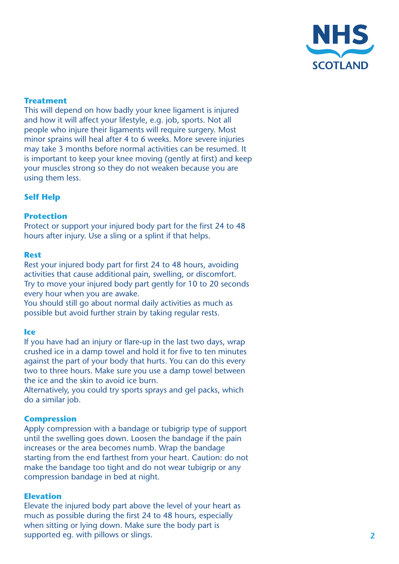

# **Treatment**

This will depend on how badly your knee ligament is injured and how it will affect your lifestyle, e.g. job, sports. Not all people who injure their ligaments will require surgery. Most minor sprains will heal after 4 to 6 weeks. More severe injuries may take 3 months before normal activities can be resumed. It is important to keep your knee moving (gently at first) and keep your muscles strong so they do not weaken because you are using them less.

# **Self Help**

## **Protection**

Protect or support your injured body part for the first 24 to 48 hours after injury. Use a sling or a splint if that helps.

#### **Rest**

Rest your injured body part for first 24 to 48 hours, avoiding activities that cause additional pain, swelling, or discomfort. Try to move your injured body part gently for 10 to 20 seconds every hour when you are awake.

You should still go about normal daily activities as much as possible but avoid further strain by taking regular rests.

#### **Ice**

If you have had an injury or flare-up in the last two days, wrap crushed ice in a damp towel and hold it for five to ten minutes against the part of your body that hurts. You can do this every two to three hours. Make sure you use a damp towel between the ice and the skin to avoid ice burn.

Alternatively, you could try sports sprays and gel packs, which do a similar job.

## **Compression**

Apply compression with a bandage or tubigrip type of support until the swelling goes down. Loosen the bandage if the pain increases or the area becomes numb. Wrap the bandage starting from the end farthest from your heart. Caution: do not make the bandage too tight and do not wear tubigrip or any compression bandage in bed at night.

#### **Elevation**

Elevate the injured body part above the level of your heart as much as possible during the first 24 to 48 hours, especially when sitting or lying down. Make sure the body part is supported eg. with pillows or slings.